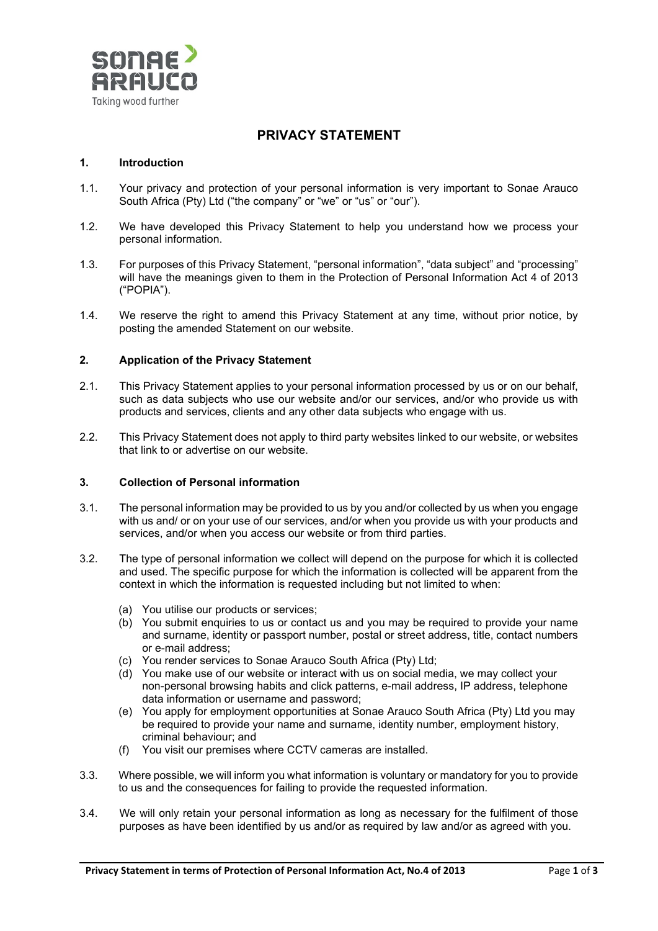

# **PRIVACY STATEMENT**

### **1. Introduction**

- 1.1. Your privacy and protection of your personal information is very important to Sonae Arauco South Africa (Pty) Ltd ("the company" or "we" or "us" or "our").
- 1.2. We have developed this Privacy Statement to help you understand how we process your personal information.
- 1.3. For purposes of this Privacy Statement, "personal information", "data subject" and "processing" will have the meanings given to them in the Protection of Personal Information Act 4 of 2013 ("POPIA").
- 1.4. We reserve the right to amend this Privacy Statement at any time, without prior notice, by posting the amended Statement on our website.

### **2. Application of the Privacy Statement**

- 2.1. This Privacy Statement applies to your personal information processed by us or on our behalf, such as data subjects who use our website and/or our services, and/or who provide us with products and services, clients and any other data subjects who engage with us.
- 2.2. This Privacy Statement does not apply to third party websites linked to our website, or websites that link to or advertise on our website.

### **3. Collection of Personal information**

- 3.1. The personal information may be provided to us by you and/or collected by us when you engage with us and/ or on your use of our services, and/or when you provide us with your products and services, and/or when you access our website or from third parties.
- 3.2. The type of personal information we collect will depend on the purpose for which it is collected and used. The specific purpose for which the information is collected will be apparent from the context in which the information is requested including but not limited to when:
	- (a) You utilise our products or services;
	- (b) You submit enquiries to us or contact us and you may be required to provide your name and surname, identity or passport number, postal or street address, title, contact numbers or e-mail address;
	- (c) You render services to Sonae Arauco South Africa (Pty) Ltd;
	- (d) You make use of our website or interact with us on social media, we may collect your non-personal browsing habits and click patterns, e-mail address, IP address, telephone data information or username and password;
	- (e) You apply for employment opportunities at Sonae Arauco South Africa (Pty) Ltd you may be required to provide your name and surname, identity number, employment history, criminal behaviour; and
	- (f) You visit our premises where CCTV cameras are installed.
- 3.3. Where possible, we will inform you what information is voluntary or mandatory for you to provide to us and the consequences for failing to provide the requested information.
- 3.4. We will only retain your personal information as long as necessary for the fulfilment of those purposes as have been identified by us and/or as required by law and/or as agreed with you.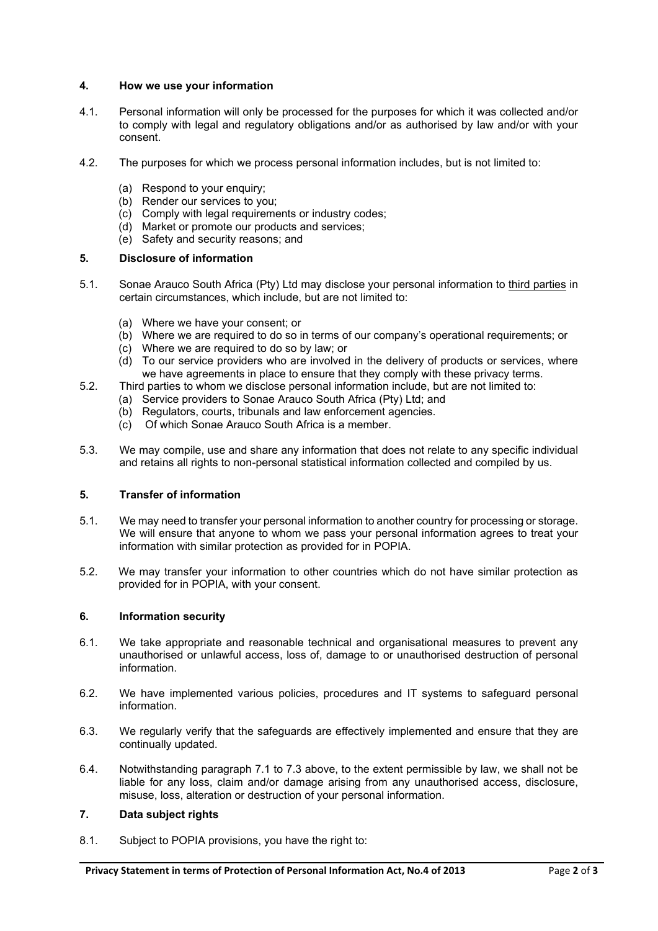# **4. How we use your information**

- 4.1. Personal information will only be processed for the purposes for which it was collected and/or to comply with legal and regulatory obligations and/or as authorised by law and/or with your consent.
- 4.2. The purposes for which we process personal information includes, but is not limited to:
	- (a) Respond to your enquiry;
	- (b) Render our services to you;
	- (c) Comply with legal requirements or industry codes;
	- (d) Market or promote our products and services;
	- (e) Safety and security reasons; and

### **5. Disclosure of information**

- 5.1. Sonae Arauco South Africa (Pty) Ltd may disclose your personal information to third parties in certain circumstances, which include, but are not limited to:
	- (a) Where we have your consent; or
	- (b) Where we are required to do so in terms of our company's operational requirements; or
	- (c) Where we are required to do so by law; or
	- (d) To our service providers who are involved in the delivery of products or services, where we have agreements in place to ensure that they comply with these privacy terms.
- 5.2. Third parties to whom we disclose personal information include, but are not limited to:
	- (a) Service providers to Sonae Arauco South Africa (Pty) Ltd; and
	- (b) Regulators, courts, tribunals and law enforcement agencies.
	- (c) Of which Sonae Arauco South Africa is a member.
- 5.3. We may compile, use and share any information that does not relate to any specific individual and retains all rights to non-personal statistical information collected and compiled by us.

# **5. Transfer of information**

- 5.1. We may need to transfer your personal information to another country for processing or storage. We will ensure that anyone to whom we pass your personal information agrees to treat your information with similar protection as provided for in POPIA.
- 5.2. We may transfer your information to other countries which do not have similar protection as provided for in POPIA, with your consent.

# **6. Information security**

- 6.1. We take appropriate and reasonable technical and organisational measures to prevent any unauthorised or unlawful access, loss of, damage to or unauthorised destruction of personal information.
- 6.2. We have implemented various policies, procedures and IT systems to safeguard personal information.
- 6.3. We regularly verify that the safeguards are effectively implemented and ensure that they are continually updated.
- 6.4. Notwithstanding paragraph 7.1 to 7.3 above, to the extent permissible by law, we shall not be liable for any loss, claim and/or damage arising from any unauthorised access, disclosure, misuse, loss, alteration or destruction of your personal information.

# **7. Data subject rights**

8.1. Subject to POPIA provisions, you have the right to: